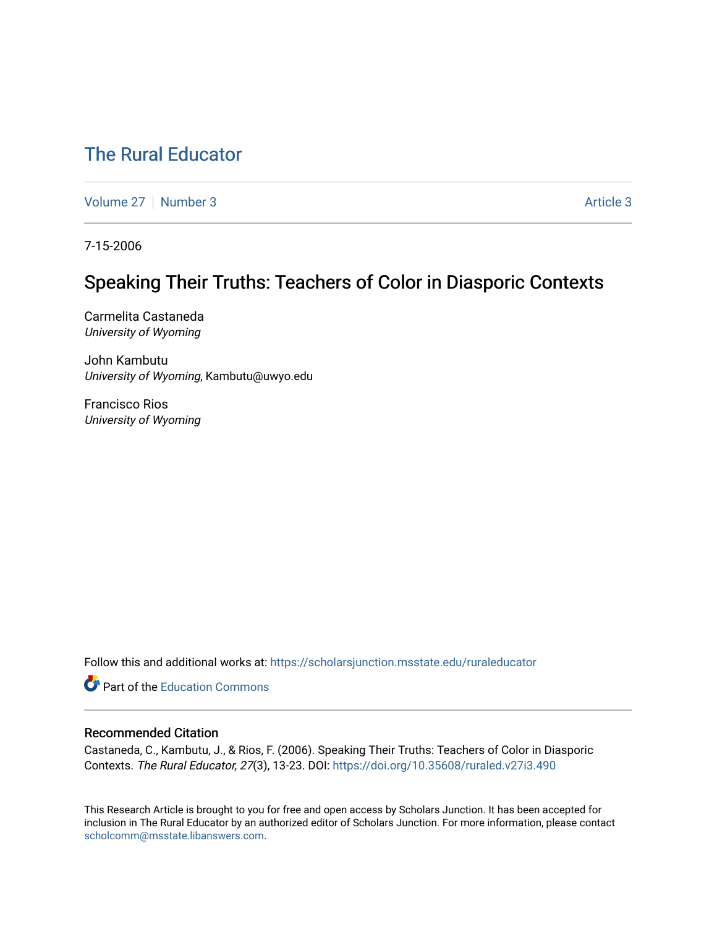# [The Rural Educator](https://scholarsjunction.msstate.edu/ruraleducator)

[Volume 27](https://scholarsjunction.msstate.edu/ruraleducator/vol27) | [Number 3](https://scholarsjunction.msstate.edu/ruraleducator/vol27/iss3) Article 3

7-15-2006

# Speaking Their Truths: Teachers of Color in Diasporic Contexts

Carmelita Castaneda University of Wyoming

John Kambutu University of Wyoming, Kambutu@uwyo.edu

Francisco Rios University of Wyoming

Follow this and additional works at: [https://scholarsjunction.msstate.edu/ruraleducator](https://scholarsjunction.msstate.edu/ruraleducator?utm_source=scholarsjunction.msstate.edu%2Fruraleducator%2Fvol27%2Fiss3%2F3&utm_medium=PDF&utm_campaign=PDFCoverPages)

**C** Part of the [Education Commons](http://network.bepress.com/hgg/discipline/784?utm_source=scholarsjunction.msstate.edu%2Fruraleducator%2Fvol27%2Fiss3%2F3&utm_medium=PDF&utm_campaign=PDFCoverPages)

## Recommended Citation

Castaneda, C., Kambutu, J., & Rios, F. (2006). Speaking Their Truths: Teachers of Color in Diasporic Contexts. The Rural Educator, 27(3), 13-23. DOI:<https://doi.org/10.35608/ruraled.v27i3.490>

This Research Article is brought to you for free and open access by Scholars Junction. It has been accepted for inclusion in The Rural Educator by an authorized editor of Scholars Junction. For more information, please contact [scholcomm@msstate.libanswers.com.](mailto:scholcomm@msstate.libanswers.com)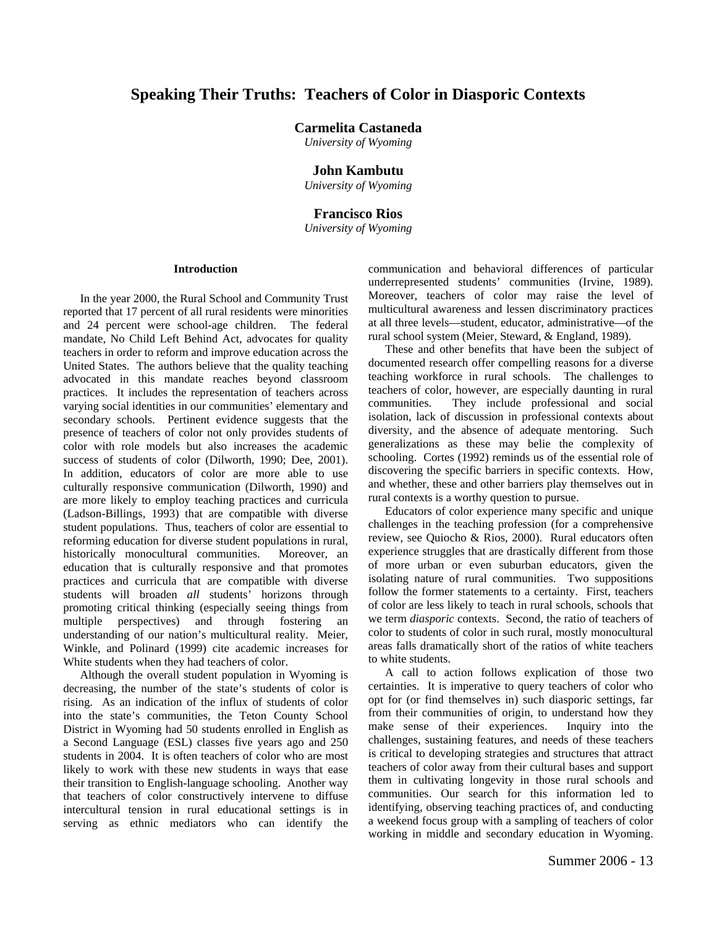# **Speaking Their Truths: Teachers of Color in Diasporic Contexts**

**Carmelita Castaneda** 

*University of Wyoming* 

### **John Kambutu**

*University of Wyoming* 

#### **Francisco Rios**

*University of Wyoming*

### **Introduction**

In the year 2000, the Rural School and Community Trust reported that 17 percent of all rural residents were minorities and 24 percent were school-age children. The federal mandate, No Child Left Behind Act, advocates for quality teachers in order to reform and improve education across the United States. The authors believe that the quality teaching advocated in this mandate reaches beyond classroom practices. It includes the representation of teachers across varying social identities in our communities' elementary and secondary schools. Pertinent evidence suggests that the presence of teachers of color not only provides students of color with role models but also increases the academic success of students of color (Dilworth, 1990; Dee, 2001). In addition, educators of color are more able to use culturally responsive communication (Dilworth, 1990) and are more likely to employ teaching practices and curricula (Ladson-Billings, 1993) that are compatible with diverse student populations. Thus, teachers of color are essential to reforming education for diverse student populations in rural, historically monocultural communities. Moreover, an education that is culturally responsive and that promotes practices and curricula that are compatible with diverse students will broaden *all* students' horizons through promoting critical thinking (especially seeing things from multiple perspectives) and through fostering an understanding of our nation's multicultural reality. Meier, Winkle, and Polinard (1999) cite academic increases for White students when they had teachers of color.

Although the overall student population in Wyoming is decreasing, the number of the state's students of color is rising. As an indication of the influx of students of color into the state's communities, the Teton County School District in Wyoming had 50 students enrolled in English as a Second Language (ESL) classes five years ago and 250 students in 2004. It is often teachers of color who are most likely to work with these new students in ways that ease their transition to English-language schooling. Another way that teachers of color constructively intervene to diffuse intercultural tension in rural educational settings is in serving as ethnic mediators who can identify the

communication and behavioral differences of particular underrepresented students' communities (Irvine, 1989). Moreover, teachers of color may raise the level of multicultural awareness and lessen discriminatory practices at all three levels—student, educator, administrative—of the rural school system (Meier, Steward, & England, 1989).

These and other benefits that have been the subject of documented research offer compelling reasons for a diverse teaching workforce in rural schools. The challenges to teachers of color, however, are especially daunting in rural communities. They include professional and social isolation, lack of discussion in professional contexts about diversity, and the absence of adequate mentoring. Such generalizations as these may belie the complexity of schooling. Cortes (1992) reminds us of the essential role of discovering the specific barriers in specific contexts. How, and whether, these and other barriers play themselves out in rural contexts is a worthy question to pursue.

Educators of color experience many specific and unique challenges in the teaching profession (for a comprehensive review, see Quiocho & Rios, 2000). Rural educators often experience struggles that are drastically different from those of more urban or even suburban educators, given the isolating nature of rural communities. Two suppositions follow the former statements to a certainty. First, teachers of color are less likely to teach in rural schools, schools that we term *diasporic* contexts. Second, the ratio of teachers of color to students of color in such rural, mostly monocultural areas falls dramatically short of the ratios of white teachers to white students.

A call to action follows explication of those two certainties. It is imperative to query teachers of color who opt for (or find themselves in) such diasporic settings, far from their communities of origin, to understand how they make sense of their experiences. Inquiry into the challenges, sustaining features, and needs of these teachers is critical to developing strategies and structures that attract teachers of color away from their cultural bases and support them in cultivating longevity in those rural schools and communities. Our search for this information led to identifying, observing teaching practices of, and conducting a weekend focus group with a sampling of teachers of color working in middle and secondary education in Wyoming.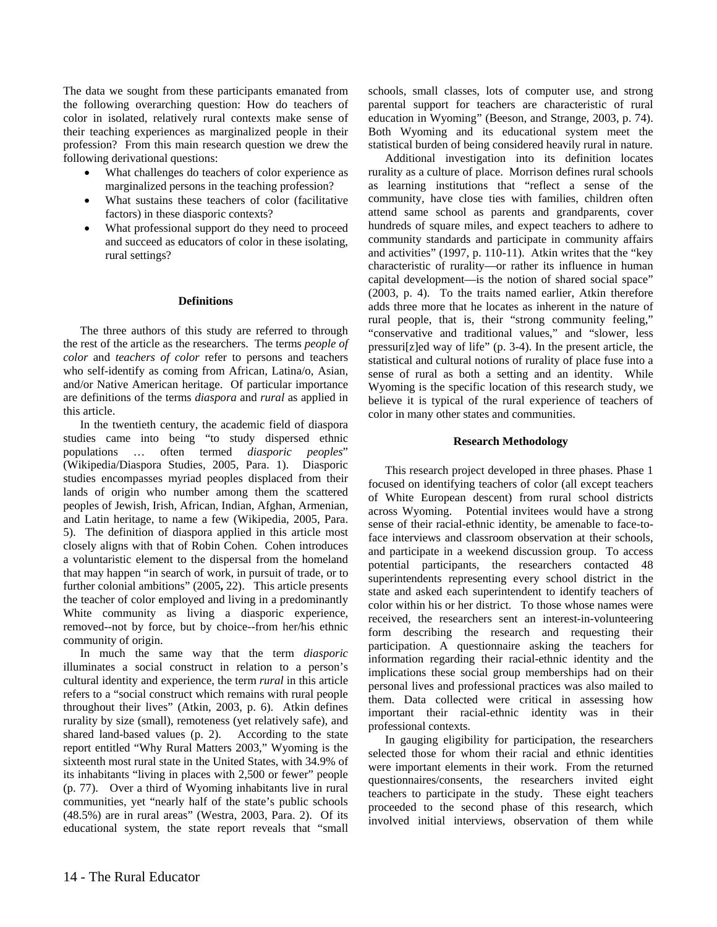The data we sought from these participants emanated from the following overarching question: How do teachers of color in isolated, relatively rural contexts make sense of their teaching experiences as marginalized people in their profession? From this main research question we drew the following derivational questions:

- What challenges do teachers of color experience as marginalized persons in the teaching profession?
- What sustains these teachers of color (facilitative factors) in these diasporic contexts?
- What professional support do they need to proceed and succeed as educators of color in these isolating, rural settings?

#### **Definitions**

The three authors of this study are referred to through the rest of the article as the researchers. The terms *people of color* and *teachers of color* refer to persons and teachers who self-identify as coming from African, Latina/o, Asian, and/or Native American heritage. Of particular importance are definitions of the terms *diaspora* and *rural* as applied in this article.

In the twentieth century, the academic field of diaspora studies came into being "to study dispersed ethnic<br>populations ... often termed *diasporic peoples*" populations … often termed *diasporic peoples*" (Wikipedia/Diaspora Studies, 2005, Para. 1). Diasporic studies encompasses myriad peoples displaced from their lands of origin who number among them the scattered peoples of Jewish, Irish, African, Indian, Afghan, Armenian, and Latin heritage, to name a few (Wikipedia, 2005, Para. 5). The definition of diaspora applied in this article most closely aligns with that of Robin Cohen. Cohen introduces a voluntaristic element to the dispersal from the homeland that may happen "in search of work, in pursuit of trade, or to further colonial ambitions" (2005**,** 22). This article presents the teacher of color employed and living in a predominantly White community as living a diasporic experience, removed--not by force, but by choice--from her/his ethnic community of origin.

In much the same way that the term *diasporic*  illuminates a social construct in relation to a person's cultural identity and experience, the term *rural* in this article refers to a "social construct which remains with rural people throughout their lives" (Atkin, 2003, p. 6). Atkin defines rurality by size (small), remoteness (yet relatively safe), and shared land-based values (p. 2). According to the state report entitled "Why Rural Matters 2003," Wyoming is the sixteenth most rural state in the United States, with 34.9% of its inhabitants "living in places with 2,500 or fewer" people (p. 77). Over a third of Wyoming inhabitants live in rural communities, yet "nearly half of the state's public schools (48.5%) are in rural areas" (Westra, 2003, Para. 2). Of its educational system, the state report reveals that "small

schools, small classes, lots of computer use, and strong parental support for teachers are characteristic of rural education in Wyoming" (Beeson, and Strange, 2003, p. 74). Both Wyoming and its educational system meet the statistical burden of being considered heavily rural in nature.

Additional investigation into its definition locates rurality as a culture of place. Morrison defines rural schools as learning institutions that "reflect a sense of the community, have close ties with families, children often attend same school as parents and grandparents, cover hundreds of square miles, and expect teachers to adhere to community standards and participate in community affairs and activities" (1997, p. 110-11). Atkin writes that the "key characteristic of rurality—or rather its influence in human capital development—is the notion of shared social space" (2003, p. 4). To the traits named earlier, Atkin therefore adds three more that he locates as inherent in the nature of rural people, that is, their "strong community feeling," "conservative and traditional values," and "slower, less pressuri[z]ed way of life" (p. 3-4). In the present article, the statistical and cultural notions of rurality of place fuse into a sense of rural as both a setting and an identity. While Wyoming is the specific location of this research study, we believe it is typical of the rural experience of teachers of color in many other states and communities.

#### **Research Methodology**

This research project developed in three phases. Phase 1 focused on identifying teachers of color (all except teachers of White European descent) from rural school districts across Wyoming. Potential invitees would have a strong sense of their racial-ethnic identity, be amenable to face-toface interviews and classroom observation at their schools, and participate in a weekend discussion group. To access potential participants, the researchers contacted 48 superintendents representing every school district in the state and asked each superintendent to identify teachers of color within his or her district. To those whose names were received, the researchers sent an interest-in-volunteering form describing the research and requesting their participation. A questionnaire asking the teachers for information regarding their racial-ethnic identity and the implications these social group memberships had on their personal lives and professional practices was also mailed to them. Data collected were critical in assessing how important their racial-ethnic identity was in their professional contexts.

In gauging eligibility for participation, the researchers selected those for whom their racial and ethnic identities were important elements in their work. From the returned questionnaires/consents, the researchers invited eight teachers to participate in the study. These eight teachers proceeded to the second phase of this research, which involved initial interviews, observation of them while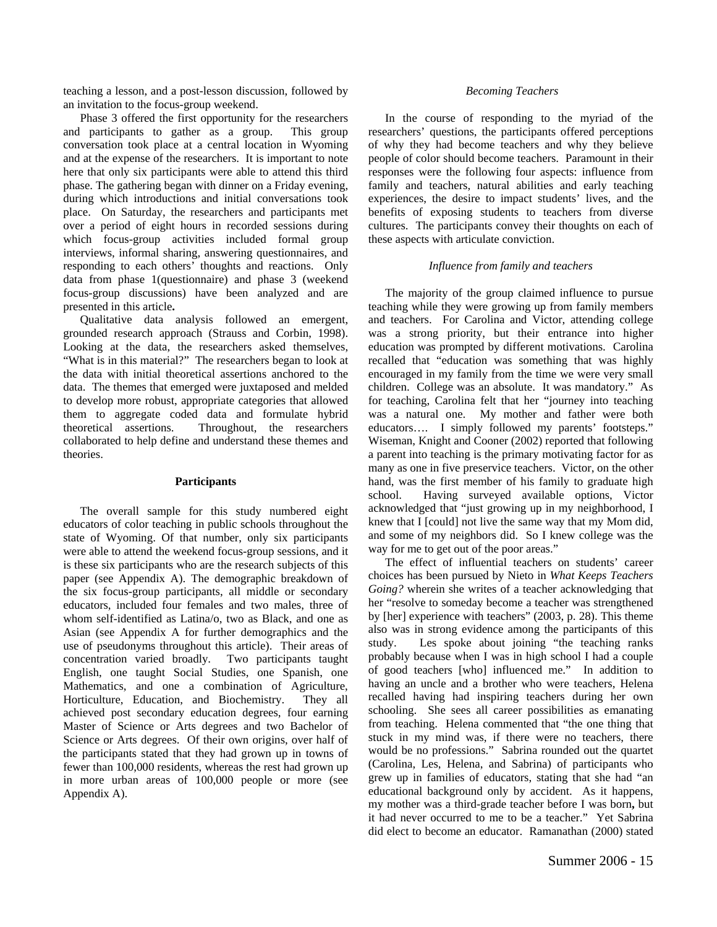teaching a lesson, and a post-lesson discussion, followed by an invitation to the focus-group weekend.

Phase 3 offered the first opportunity for the researchers and participants to gather as a group. This group conversation took place at a central location in Wyoming and at the expense of the researchers. It is important to note here that only six participants were able to attend this third phase. The gathering began with dinner on a Friday evening, during which introductions and initial conversations took place. On Saturday, the researchers and participants met over a period of eight hours in recorded sessions during which focus-group activities included formal group interviews, informal sharing, answering questionnaires, and responding to each others' thoughts and reactions. Only data from phase 1(questionnaire) and phase 3 (weekend focus-group discussions) have been analyzed and are presented in this article**.** 

Qualitative data analysis followed an emergent, grounded research approach (Strauss and Corbin, 1998). Looking at the data, the researchers asked themselves, "What is in this material?" The researchers began to look at the data with initial theoretical assertions anchored to the data. The themes that emerged were juxtaposed and melded to develop more robust, appropriate categories that allowed them to aggregate coded data and formulate hybrid theoretical assertions. Throughout, the researchers collaborated to help define and understand these themes and theories.

#### **Participants**

The overall sample for this study numbered eight educators of color teaching in public schools throughout the state of Wyoming. Of that number, only six participants were able to attend the weekend focus-group sessions, and it is these six participants who are the research subjects of this paper (see Appendix A). The demographic breakdown of the six focus-group participants, all middle or secondary educators, included four females and two males, three of whom self-identified as Latina/o, two as Black, and one as Asian (see Appendix A for further demographics and the use of pseudonyms throughout this article).Their areas of concentration varied broadly. Two participants taught English, one taught Social Studies, one Spanish, one Mathematics, and one a combination of Agriculture, Horticulture, Education, and Biochemistry. They all achieved post secondary education degrees, four earning Master of Science or Arts degrees and two Bachelor of Science or Arts degrees. Of their own origins, over half of the participants stated that they had grown up in towns of fewer than 100,000 residents, whereas the rest had grown up in more urban areas of 100,000 people or more (see Appendix A).

#### *Becoming Teachers*

In the course of responding to the myriad of the researchers' questions, the participants offered perceptions of why they had become teachers and why they believe people of color should become teachers. Paramount in their responses were the following four aspects: influence from family and teachers, natural abilities and early teaching experiences, the desire to impact students' lives, and the benefits of exposing students to teachers from diverse cultures. The participants convey their thoughts on each of these aspects with articulate conviction.

#### *Influence from family and teachers*

The majority of the group claimed influence to pursue teaching while they were growing up from family members and teachers. For Carolina and Victor, attending college was a strong priority, but their entrance into higher education was prompted by different motivations. Carolina recalled that "education was something that was highly encouraged in my family from the time we were very small children. College was an absolute. It was mandatory." As for teaching, Carolina felt that her "journey into teaching was a natural one. My mother and father were both educators…. I simply followed my parents' footsteps." Wiseman, Knight and Cooner (2002) reported that following a parent into teaching is the primary motivating factor for as many as one in five preservice teachers. Victor, on the other hand, was the first member of his family to graduate high school. Having surveyed available options, Victor acknowledged that "just growing up in my neighborhood, I knew that I [could] not live the same way that my Mom did, and some of my neighbors did. So I knew college was the way for me to get out of the poor areas."

The effect of influential teachers on students' career choices has been pursued by Nieto in *What Keeps Teachers Going?* wherein she writes of a teacher acknowledging that her "resolve to someday become a teacher was strengthened by [her] experience with teachers" (2003, p. 28). This theme also was in strong evidence among the participants of this study. Les spoke about joining "the teaching ranks probably because when I was in high school I had a couple of good teachers [who] influenced me." In addition to having an uncle and a brother who were teachers, Helena recalled having had inspiring teachers during her own schooling. She sees all career possibilities as emanating from teaching. Helena commented that "the one thing that stuck in my mind was, if there were no teachers, there would be no professions." Sabrina rounded out the quartet (Carolina, Les, Helena, and Sabrina) of participants who grew up in families of educators, stating that she had "an educational background only by accident. As it happens, my mother was a third-grade teacher before I was born**,** but it had never occurred to me to be a teacher." Yet Sabrina did elect to become an educator. Ramanathan (2000) stated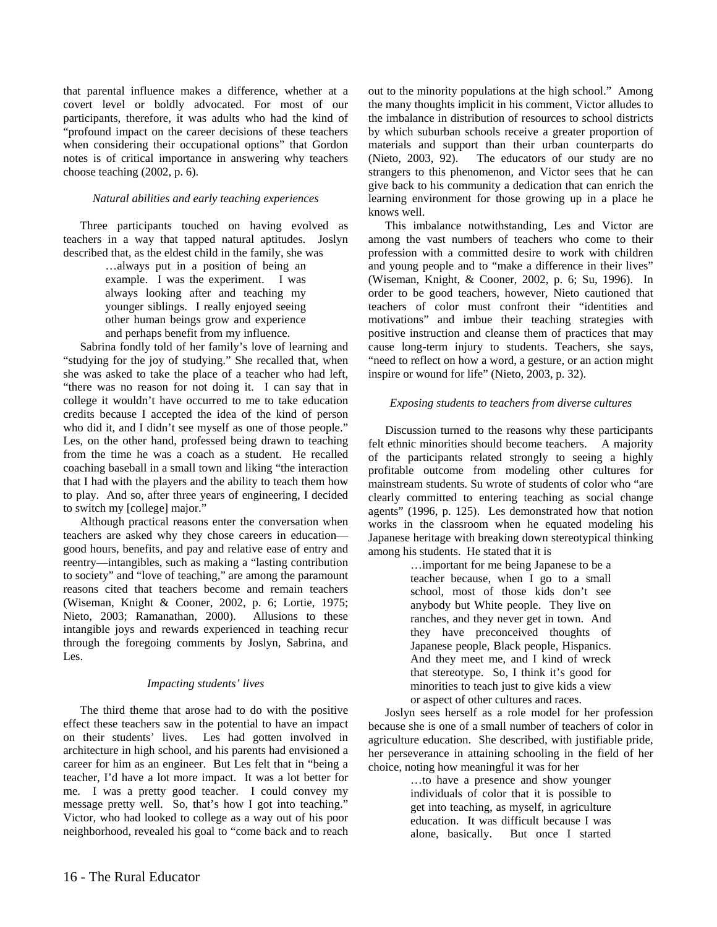that parental influence makes a difference, whether at a covert level or boldly advocated. For most of our participants, therefore, it was adults who had the kind of "profound impact on the career decisions of these teachers when considering their occupational options" that Gordon notes is of critical importance in answering why teachers choose teaching (2002, p. 6).

#### *Natural abilities and early teaching experiences*

Three participants touched on having evolved as teachers in a way that tapped natural aptitudes. Joslyn described that, as the eldest child in the family, she was

> …always put in a position of being an example. I was the experiment. I was always looking after and teaching my younger siblings. I really enjoyed seeing other human beings grow and experience and perhaps benefit from my influence.

Sabrina fondly told of her family's love of learning and "studying for the joy of studying." She recalled that, when she was asked to take the place of a teacher who had left, "there was no reason for not doing it. I can say that in college it wouldn't have occurred to me to take education credits because I accepted the idea of the kind of person who did it, and I didn't see myself as one of those people." Les, on the other hand, professed being drawn to teaching from the time he was a coach as a student. He recalled coaching baseball in a small town and liking "the interaction that I had with the players and the ability to teach them how to play. And so, after three years of engineering, I decided to switch my [college] major."

Although practical reasons enter the conversation when teachers are asked why they chose careers in education good hours, benefits, and pay and relative ease of entry and reentry—intangibles, such as making a "lasting contribution to society" and "love of teaching," are among the paramount reasons cited that teachers become and remain teachers (Wiseman, Knight & Cooner, 2002, p. 6; Lortie, 1975; Nieto, 2003; Ramanathan, 2000). Allusions to these intangible joys and rewards experienced in teaching recur through the foregoing comments by Joslyn, Sabrina, and Les.

#### *Impacting students' lives*

The third theme that arose had to do with the positive effect these teachers saw in the potential to have an impact on their students' lives. Les had gotten involved in architecture in high school, and his parents had envisioned a career for him as an engineer. But Les felt that in "being a teacher, I'd have a lot more impact. It was a lot better for me. I was a pretty good teacher. I could convey my message pretty well. So, that's how I got into teaching." Victor, who had looked to college as a way out of his poor neighborhood, revealed his goal to "come back and to reach out to the minority populations at the high school." Among the many thoughts implicit in his comment, Victor alludes to the imbalance in distribution of resources to school districts by which suburban schools receive a greater proportion of materials and support than their urban counterparts do (Nieto, 2003, 92). The educators of our study are no strangers to this phenomenon, and Victor sees that he can give back to his community a dedication that can enrich the learning environment for those growing up in a place he knows well.

This imbalance notwithstanding, Les and Victor are among the vast numbers of teachers who come to their profession with a committed desire to work with children and young people and to "make a difference in their lives" (Wiseman, Knight, & Cooner, 2002, p. 6; Su, 1996). In order to be good teachers, however, Nieto cautioned that teachers of color must confront their "identities and motivations" and imbue their teaching strategies with positive instruction and cleanse them of practices that may cause long-term injury to students. Teachers, she says, "need to reflect on how a word, a gesture, or an action might inspire or wound for life" (Nieto, 2003, p. 32).

### *Exposing students to teachers from diverse cultures*

Discussion turned to the reasons why these participants felt ethnic minorities should become teachers. A majority of the participants related strongly to seeing a highly profitable outcome from modeling other cultures for mainstream students. Su wrote of students of color who "are clearly committed to entering teaching as social change agents" (1996, p. 125). Les demonstrated how that notion works in the classroom when he equated modeling his Japanese heritage with breaking down stereotypical thinking among his students. He stated that it is

> …important for me being Japanese to be a teacher because, when I go to a small school, most of those kids don't see anybody but White people. They live on ranches, and they never get in town. And they have preconceived thoughts of Japanese people, Black people, Hispanics. And they meet me, and I kind of wreck that stereotype. So, I think it's good for minorities to teach just to give kids a view or aspect of other cultures and races.

Joslyn sees herself as a role model for her profession because she is one of a small number of teachers of color in agriculture education. She described, with justifiable pride, her perseverance in attaining schooling in the field of her choice, noting how meaningful it was for her

> …to have a presence and show younger individuals of color that it is possible to get into teaching, as myself, in agriculture education. It was difficult because I was alone, basically. But once I started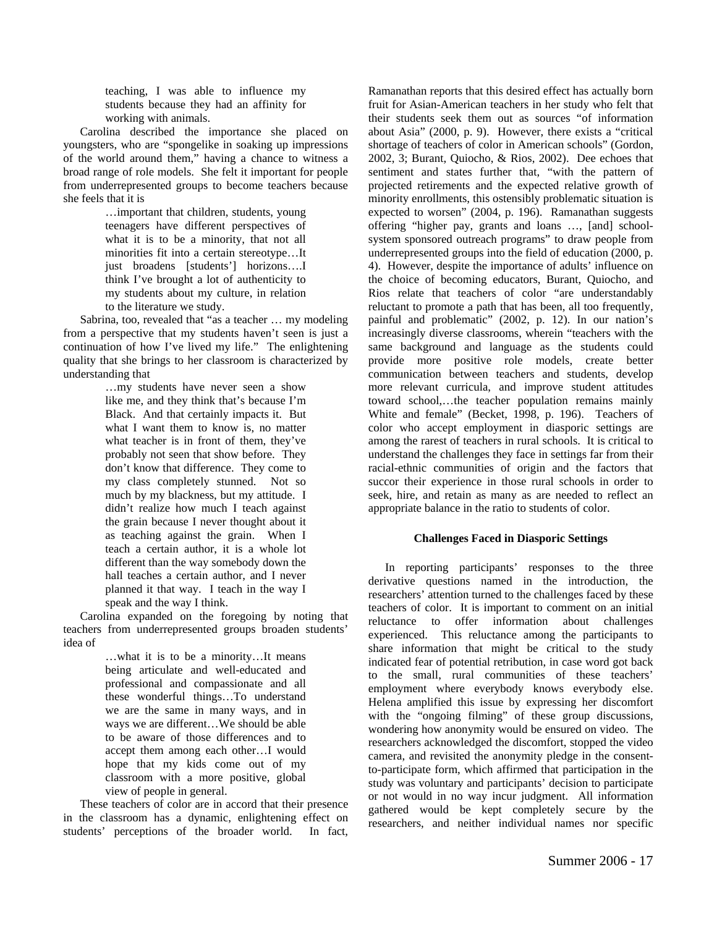teaching, I was able to influence my students because they had an affinity for working with animals.

Carolina described the importance she placed on youngsters, who are "spongelike in soaking up impressions of the world around them," having a chance to witness a broad range of role models. She felt it important for people from underrepresented groups to become teachers because she feels that it is

> …important that children, students, young teenagers have different perspectives of what it is to be a minority, that not all minorities fit into a certain stereotype…It just broadens [students'] horizons….I think I've brought a lot of authenticity to my students about my culture, in relation to the literature we study.

Sabrina, too, revealed that "as a teacher … my modeling from a perspective that my students haven't seen is just a continuation of how I've lived my life." The enlightening quality that she brings to her classroom is characterized by understanding that

> …my students have never seen a show like me, and they think that's because I'm Black. And that certainly impacts it. But what I want them to know is, no matter what teacher is in front of them, they've probably not seen that show before. They don't know that difference. They come to my class completely stunned. Not so much by my blackness, but my attitude. I didn't realize how much I teach against the grain because I never thought about it as teaching against the grain. When I teach a certain author, it is a whole lot different than the way somebody down the hall teaches a certain author, and I never planned it that way. I teach in the way I speak and the way I think.

Carolina expanded on the foregoing by noting that teachers from underrepresented groups broaden students' idea of

> …what it is to be a minority…It means being articulate and well-educated and professional and compassionate and all these wonderful things…To understand we are the same in many ways, and in ways we are different…We should be able to be aware of those differences and to accept them among each other…I would hope that my kids come out of my classroom with a more positive, global view of people in general.

These teachers of color are in accord that their presence in the classroom has a dynamic, enlightening effect on students' perceptions of the broader world. In fact, Ramanathan reports that this desired effect has actually born fruit for Asian-American teachers in her study who felt that their students seek them out as sources "of information about Asia" (2000, p. 9). However, there exists a "critical shortage of teachers of color in American schools" (Gordon, 2002, 3; Burant, Quiocho, & Rios, 2002). Dee echoes that sentiment and states further that, "with the pattern of projected retirements and the expected relative growth of minority enrollments, this ostensibly problematic situation is expected to worsen" (2004, p. 196). Ramanathan suggests offering "higher pay, grants and loans …, [and] schoolsystem sponsored outreach programs" to draw people from underrepresented groups into the field of education (2000, p. 4). However, despite the importance of adults' influence on the choice of becoming educators, Burant, Quiocho, and Rios relate that teachers of color "are understandably reluctant to promote a path that has been, all too frequently, painful and problematic" (2002, p. 12). In our nation's increasingly diverse classrooms, wherein "teachers with the same background and language as the students could provide more positive role models, create better communication between teachers and students, develop more relevant curricula, and improve student attitudes toward school,…the teacher population remains mainly White and female" (Becket, 1998, p. 196). Teachers of color who accept employment in diasporic settings are among the rarest of teachers in rural schools. It is critical to understand the challenges they face in settings far from their racial-ethnic communities of origin and the factors that succor their experience in those rural schools in order to seek, hire, and retain as many as are needed to reflect an appropriate balance in the ratio to students of color.

## **Challenges Faced in Diasporic Settings**

In reporting participants' responses to the three derivative questions named in the introduction, the researchers' attention turned to the challenges faced by these teachers of color. It is important to comment on an initial reluctance to offer information about challenges experienced. This reluctance among the participants to share information that might be critical to the study indicated fear of potential retribution, in case word got back to the small, rural communities of these teachers' employment where everybody knows everybody else. Helena amplified this issue by expressing her discomfort with the "ongoing filming" of these group discussions, wondering how anonymity would be ensured on video. The researchers acknowledged the discomfort, stopped the video camera, and revisited the anonymity pledge in the consentto-participate form, which affirmed that participation in the study was voluntary and participants' decision to participate or not would in no way incur judgment. All information gathered would be kept completely secure by the researchers, and neither individual names nor specific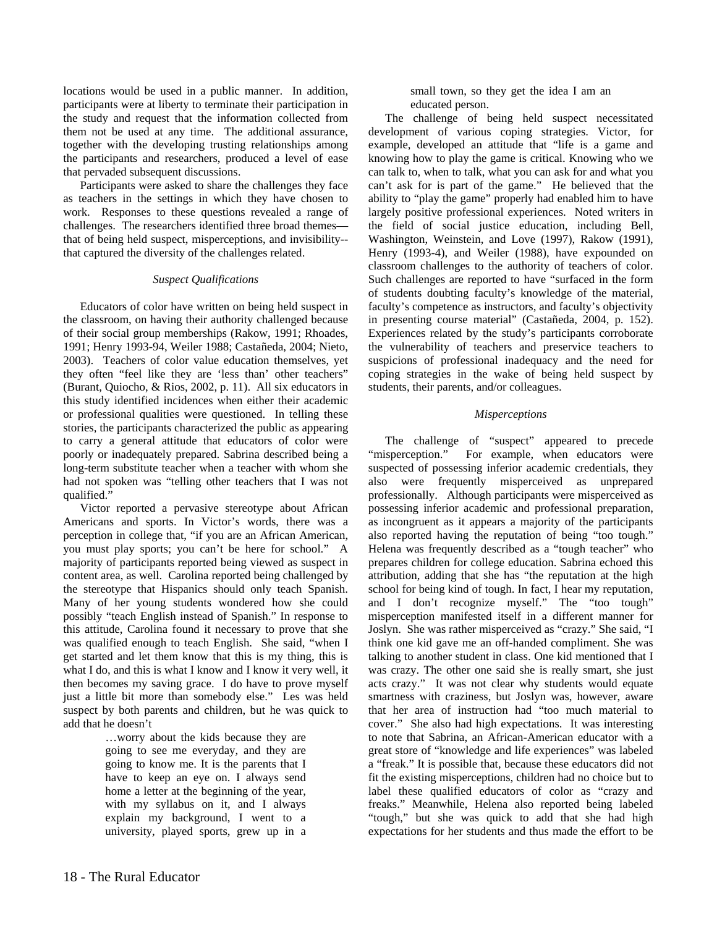locations would be used in a public manner. In addition, participants were at liberty to terminate their participation in the study and request that the information collected from them not be used at any time. The additional assurance, together with the developing trusting relationships among the participants and researchers, produced a level of ease that pervaded subsequent discussions.

Participants were asked to share the challenges they face as teachers in the settings in which they have chosen to work.Responses to these questions revealed a range of challenges. The researchers identified three broad themes that of being held suspect, misperceptions, and invisibility- that captured the diversity of the challenges related.

#### *Suspect Qualifications*

Educators of color have written on being held suspect in the classroom, on having their authority challenged because of their social group memberships (Rakow, 1991; Rhoades, 1991; Henry 1993-94, Weiler 1988; Castañeda, 2004; Nieto, 2003). Teachers of color value education themselves, yet they often "feel like they are 'less than' other teachers" (Burant, Quiocho, & Rios, 2002, p. 11). All six educators in this study identified incidences when either their academic or professional qualities were questioned. In telling these stories, the participants characterized the public as appearing to carry a general attitude that educators of color were poorly or inadequately prepared. Sabrina described being a long-term substitute teacher when a teacher with whom she had not spoken was "telling other teachers that I was not qualified."

Victor reported a pervasive stereotype about African Americans and sports. In Victor's words, there was a perception in college that, "if you are an African American, you must play sports; you can't be here for school." A majority of participants reported being viewed as suspect in content area, as well. Carolina reported being challenged by the stereotype that Hispanics should only teach Spanish. Many of her young students wondered how she could possibly "teach English instead of Spanish." In response to this attitude, Carolina found it necessary to prove that she was qualified enough to teach English. She said, "when I get started and let them know that this is my thing, this is what I do, and this is what I know and I know it very well, it then becomes my saving grace. I do have to prove myself just a little bit more than somebody else." Les was held suspect by both parents and children, but he was quick to add that he doesn't

> …worry about the kids because they are going to see me everyday, and they are going to know me. It is the parents that I have to keep an eye on. I always send home a letter at the beginning of the year, with my syllabus on it, and I always explain my background, I went to a university, played sports, grew up in a

small town, so they get the idea I am an educated person.

The challenge of being held suspect necessitated development of various coping strategies. Victor, for example, developed an attitude that "life is a game and knowing how to play the game is critical. Knowing who we can talk to, when to talk, what you can ask for and what you can't ask for is part of the game." He believed that the ability to "play the game" properly had enabled him to have largely positive professional experiences. Noted writers in the field of social justice education, including Bell, Washington, Weinstein, and Love (1997), Rakow (1991), Henry (1993-4), and Weiler (1988), have expounded on classroom challenges to the authority of teachers of color. Such challenges are reported to have "surfaced in the form of students doubting faculty's knowledge of the material, faculty's competence as instructors, and faculty's objectivity in presenting course material" (Castañeda, 2004, p. 152). Experiences related by the study's participants corroborate the vulnerability of teachers and preservice teachers to suspicions of professional inadequacy and the need for coping strategies in the wake of being held suspect by students, their parents, and/or colleagues.

### *Misperceptions*

The challenge of "suspect" appeared to precede "misperception." For example, when educators were suspected of possessing inferior academic credentials, they also were frequently misperceived as unprepared professionally. Although participants were misperceived as possessing inferior academic and professional preparation, as incongruent as it appears a majority of the participants also reported having the reputation of being "too tough." Helena was frequently described as a "tough teacher" who prepares children for college education. Sabrina echoed this attribution, adding that she has "the reputation at the high school for being kind of tough. In fact, I hear my reputation, and I don't recognize myself." The "too tough" misperception manifested itself in a different manner for Joslyn. She was rather misperceived as "crazy." She said, "I think one kid gave me an off-handed compliment. She was talking to another student in class. One kid mentioned that I was crazy. The other one said she is really smart, she just acts crazy." It was not clear why students would equate smartness with craziness, but Joslyn was, however, aware that her area of instruction had "too much material to cover." She also had high expectations. It was interesting to note that Sabrina, an African-American educator with a great store of "knowledge and life experiences" was labeled a "freak." It is possible that, because these educators did not fit the existing misperceptions, children had no choice but to label these qualified educators of color as "crazy and freaks." Meanwhile, Helena also reported being labeled "tough," but she was quick to add that she had high expectations for her students and thus made the effort to be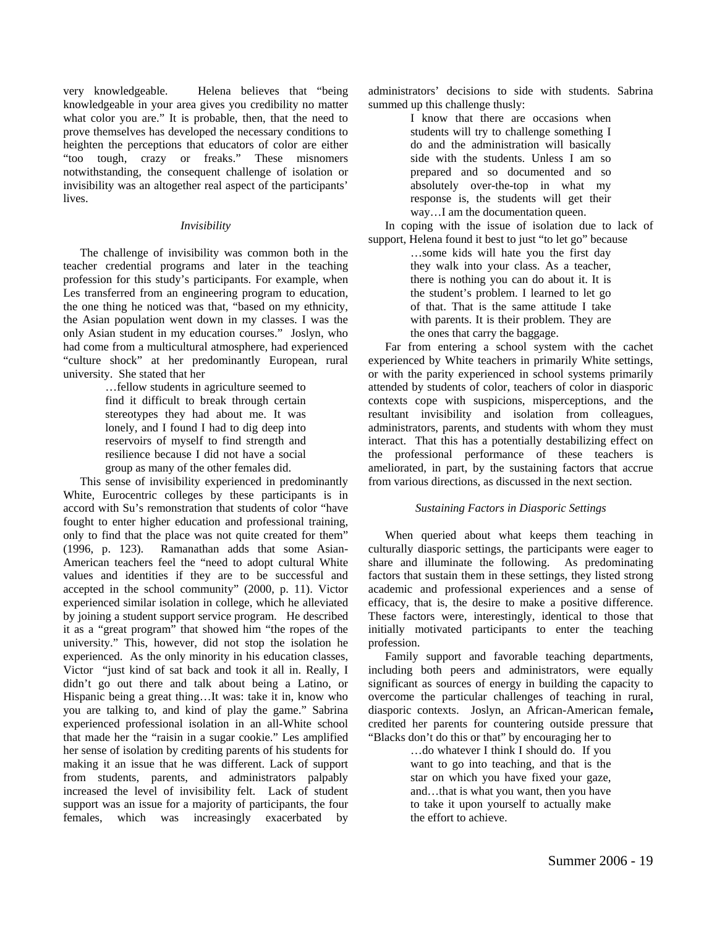very knowledgeable. Helena believes that "being knowledgeable in your area gives you credibility no matter what color you are." It is probable, then, that the need to prove themselves has developed the necessary conditions to heighten the perceptions that educators of color are either "too tough, crazy or freaks." These misnomers notwithstanding, the consequent challenge of isolation or invisibility was an altogether real aspect of the participants' lives.

#### *Invisibility*

The challenge of invisibility was common both in the teacher credential programs and later in the teaching profession for this study's participants. For example, when Les transferred from an engineering program to education, the one thing he noticed was that, "based on my ethnicity, the Asian population went down in my classes. I was the only Asian student in my education courses." Joslyn, who had come from a multicultural atmosphere, had experienced "culture shock" at her predominantly European, rural university. She stated that her

> …fellow students in agriculture seemed to find it difficult to break through certain stereotypes they had about me. It was lonely, and I found I had to dig deep into reservoirs of myself to find strength and resilience because I did not have a social group as many of the other females did.

This sense of invisibility experienced in predominantly White, Eurocentric colleges by these participants is in accord with Su's remonstration that students of color "have fought to enter higher education and professional training, only to find that the place was not quite created for them" (1996, p. 123). Ramanathan adds that some Asian-American teachers feel the "need to adopt cultural White values and identities if they are to be successful and accepted in the school community" (2000, p. 11). Victor experienced similar isolation in college, which he alleviated by joining a student support service program. He described it as a "great program" that showed him "the ropes of the university." This, however, did not stop the isolation he experienced. As the only minority in his education classes, Victor "just kind of sat back and took it all in. Really, I didn't go out there and talk about being a Latino, or Hispanic being a great thing…It was: take it in, know who you are talking to, and kind of play the game." Sabrina experienced professional isolation in an all-White school that made her the "raisin in a sugar cookie." Les amplified her sense of isolation by crediting parents of his students for making it an issue that he was different. Lack of support from students, parents, and administrators palpably increased the level of invisibility felt. Lack of student support was an issue for a majority of participants, the four females, which was increasingly exacerbated by

administrators' decisions to side with students. Sabrina summed up this challenge thusly:

> I know that there are occasions when students will try to challenge something I do and the administration will basically side with the students. Unless I am so prepared and so documented and so absolutely over-the-top in what my response is, the students will get their way…I am the documentation queen.

In coping with the issue of isolation due to lack of support, Helena found it best to just "to let go" because

…some kids will hate you the first day they walk into your class. As a teacher, there is nothing you can do about it. It is the student's problem. I learned to let go of that. That is the same attitude I take with parents. It is their problem. They are the ones that carry the baggage.

Far from entering a school system with the cachet experienced by White teachers in primarily White settings, or with the parity experienced in school systems primarily attended by students of color, teachers of color in diasporic contexts cope with suspicions, misperceptions, and the resultant invisibility and isolation from colleagues, administrators, parents, and students with whom they must interact. That this has a potentially destabilizing effect on the professional performance of these teachers is ameliorated, in part, by the sustaining factors that accrue from various directions, as discussed in the next section.

#### *Sustaining Factors in Diasporic Settings*

When queried about what keeps them teaching in culturally diasporic settings, the participants were eager to share and illuminate the following. As predominating factors that sustain them in these settings, they listed strong academic and professional experiences and a sense of efficacy, that is, the desire to make a positive difference. These factors were, interestingly, identical to those that initially motivated participants to enter the teaching profession.

Family support and favorable teaching departments, including both peers and administrators, were equally significant as sources of energy in building the capacity to overcome the particular challenges of teaching in rural, diasporic contexts. Joslyn, an African-American female**,** credited her parents for countering outside pressure that "Blacks don't do this or that" by encouraging her to

> …do whatever I think I should do. If you want to go into teaching, and that is the star on which you have fixed your gaze, and…that is what you want, then you have to take it upon yourself to actually make the effort to achieve.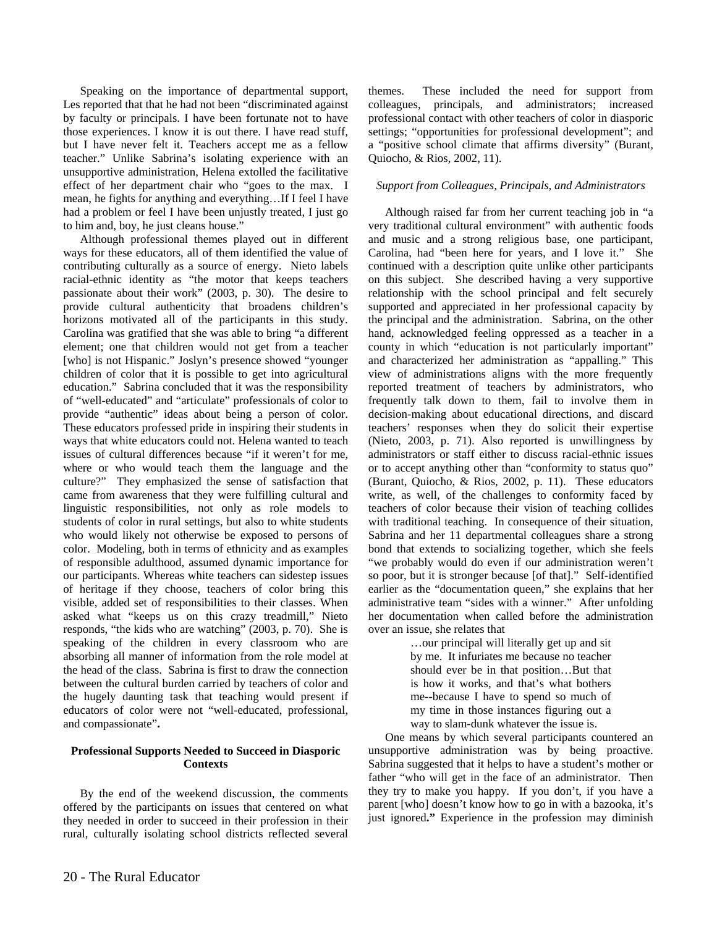Speaking on the importance of departmental support, Les reported that that he had not been "discriminated against by faculty or principals. I have been fortunate not to have those experiences. I know it is out there. I have read stuff, but I have never felt it. Teachers accept me as a fellow teacher." Unlike Sabrina's isolating experience with an unsupportive administration, Helena extolled the facilitative effect of her department chair who "goes to the max. I mean, he fights for anything and everything…If I feel I have had a problem or feel I have been unjustly treated, I just go to him and, boy, he just cleans house."

Although professional themes played out in different ways for these educators, all of them identified the value of contributing culturally as a source of energy. Nieto labels racial-ethnic identity as "the motor that keeps teachers passionate about their work" (2003, p. 30). The desire to provide cultural authenticity that broadens children's horizons motivated all of the participants in this study. Carolina was gratified that she was able to bring "a different element; one that children would not get from a teacher [who] is not Hispanic." Joslyn's presence showed "younger children of color that it is possible to get into agricultural education." Sabrina concluded that it was the responsibility of "well-educated" and "articulate" professionals of color to provide "authentic" ideas about being a person of color. These educators professed pride in inspiring their students in ways that white educators could not. Helena wanted to teach issues of cultural differences because "if it weren't for me, where or who would teach them the language and the culture?" They emphasized the sense of satisfaction that came from awareness that they were fulfilling cultural and linguistic responsibilities, not only as role models to students of color in rural settings, but also to white students who would likely not otherwise be exposed to persons of color. Modeling, both in terms of ethnicity and as examples of responsible adulthood, assumed dynamic importance for our participants. Whereas white teachers can sidestep issues of heritage if they choose, teachers of color bring this visible, added set of responsibilities to their classes. When asked what "keeps us on this crazy treadmill," Nieto responds, "the kids who are watching" (2003, p. 70). She is speaking of the children in every classroom who are absorbing all manner of information from the role model at the head of the class. Sabrina is first to draw the connection between the cultural burden carried by teachers of color and the hugely daunting task that teaching would present if educators of color were not "well-educated, professional, and compassionate"**.**

#### **Professional Supports Needed to Succeed in Diasporic Contexts**

By the end of the weekend discussion, the comments offered by the participants on issues that centered on what they needed in order to succeed in their profession in their rural, culturally isolating school districts reflected several themes. These included the need for support from colleagues, principals, and administrators; increased professional contact with other teachers of color in diasporic settings; "opportunities for professional development"; and a "positive school climate that affirms diversity" (Burant, Quiocho, & Rios, 2002, 11).

#### *Support from Colleagues, Principals, and Administrators*

Although raised far from her current teaching job in "a very traditional cultural environment" with authentic foods and music and a strong religious base, one participant, Carolina, had "been here for years, and I love it." She continued with a description quite unlike other participants on this subject. She described having a very supportive relationship with the school principal and felt securely supported and appreciated in her professional capacity by the principal and the administration. Sabrina, on the other hand, acknowledged feeling oppressed as a teacher in a county in which "education is not particularly important" and characterized her administration as "appalling." This view of administrations aligns with the more frequently reported treatment of teachers by administrators, who frequently talk down to them, fail to involve them in decision-making about educational directions, and discard teachers' responses when they do solicit their expertise (Nieto, 2003, p. 71). Also reported is unwillingness by administrators or staff either to discuss racial-ethnic issues or to accept anything other than "conformity to status quo" (Burant, Quiocho, & Rios, 2002, p. 11). These educators write, as well, of the challenges to conformity faced by teachers of color because their vision of teaching collides with traditional teaching. In consequence of their situation, Sabrina and her 11 departmental colleagues share a strong bond that extends to socializing together, which she feels "we probably would do even if our administration weren't so poor, but it is stronger because [of that]." Self-identified earlier as the "documentation queen," she explains that her administrative team "sides with a winner." After unfolding her documentation when called before the administration over an issue, she relates that

> …our principal will literally get up and sit by me. It infuriates me because no teacher should ever be in that position…But that is how it works, and that's what bothers me--because I have to spend so much of my time in those instances figuring out a way to slam-dunk whatever the issue is.

One means by which several participants countered an unsupportive administration was by being proactive. Sabrina suggested that it helps to have a student's mother or father "who will get in the face of an administrator. Then they try to make you happy. If you don't, if you have a parent [who] doesn't know how to go in with a bazooka, it's just ignored**."** Experience in the profession may diminish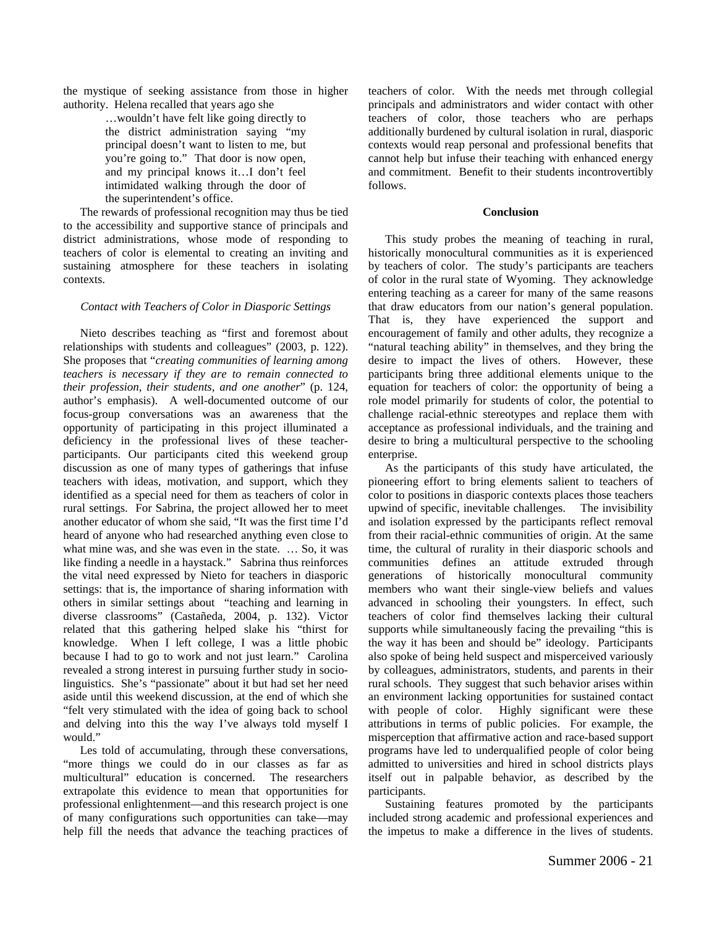the mystique of seeking assistance from those in higher authority. Helena recalled that years ago she

> …wouldn't have felt like going directly to the district administration saying "my principal doesn't want to listen to me, but you're going to." That door is now open, and my principal knows it…I don't feel intimidated walking through the door of the superintendent's office.

The rewards of professional recognition may thus be tied to the accessibility and supportive stance of principals and district administrations, whose mode of responding to teachers of color is elemental to creating an inviting and sustaining atmosphere for these teachers in isolating contexts.

#### *Contact with Teachers of Color in Diasporic Settings*

Nieto describes teaching as "first and foremost about relationships with students and colleagues" (2003, p. 122). She proposes that "*creating communities of learning among teachers is necessary if they are to remain connected to their profession, their students, and one another*" (p. 124, author's emphasis). A well-documented outcome of our focus-group conversations was an awareness that the opportunity of participating in this project illuminated a deficiency in the professional lives of these teacherparticipants. Our participants cited this weekend group discussion as one of many types of gatherings that infuse teachers with ideas, motivation, and support, which they identified as a special need for them as teachers of color in rural settings. For Sabrina, the project allowed her to meet another educator of whom she said, "It was the first time I'd heard of anyone who had researched anything even close to what mine was, and she was even in the state. ... So, it was like finding a needle in a haystack." Sabrina thus reinforces the vital need expressed by Nieto for teachers in diasporic settings: that is, the importance of sharing information with others in similar settings about "teaching and learning in diverse classrooms" (Castañeda, 2004, p. 132). Victor related that this gathering helped slake his "thirst for knowledge. When I left college, I was a little phobic because I had to go to work and not just learn." Carolina revealed a strong interest in pursuing further study in sociolinguistics. She's "passionate" about it but had set her need aside until this weekend discussion, at the end of which she "felt very stimulated with the idea of going back to school and delving into this the way I've always told myself I would."

Les told of accumulating, through these conversations, "more things we could do in our classes as far as multicultural" education is concerned. The researchers extrapolate this evidence to mean that opportunities for professional enlightenment—and this research project is one of many configurations such opportunities can take—may help fill the needs that advance the teaching practices of teachers of color. With the needs met through collegial principals and administrators and wider contact with other teachers of color, those teachers who are perhaps additionally burdened by cultural isolation in rural, diasporic contexts would reap personal and professional benefits that cannot help but infuse their teaching with enhanced energy and commitment. Benefit to their students incontrovertibly follows.

#### **Conclusion**

This study probes the meaning of teaching in rural, historically monocultural communities as it is experienced by teachers of color. The study's participants are teachers of color in the rural state of Wyoming. They acknowledge entering teaching as a career for many of the same reasons that draw educators from our nation's general population. That is, they have experienced the support and encouragement of family and other adults, they recognize a "natural teaching ability" in themselves, and they bring the desire to impact the lives of others. However, these participants bring three additional elements unique to the equation for teachers of color: the opportunity of being a role model primarily for students of color, the potential to challenge racial-ethnic stereotypes and replace them with acceptance as professional individuals, and the training and desire to bring a multicultural perspective to the schooling enterprise.

As the participants of this study have articulated, the pioneering effort to bring elements salient to teachers of color to positions in diasporic contexts places those teachers upwind of specific, inevitable challenges. The invisibility and isolation expressed by the participants reflect removal from their racial-ethnic communities of origin. At the same time, the cultural of rurality in their diasporic schools and communities defines an attitude extruded through generations of historically monocultural community members who want their single-view beliefs and values advanced in schooling their youngsters. In effect, such teachers of color find themselves lacking their cultural supports while simultaneously facing the prevailing "this is the way it has been and should be" ideology. Participants also spoke of being held suspect and misperceived variously by colleagues, administrators, students, and parents in their rural schools. They suggest that such behavior arises within an environment lacking opportunities for sustained contact with people of color. Highly significant were these attributions in terms of public policies. For example, the misperception that affirmative action and race-based support programs have led to underqualified people of color being admitted to universities and hired in school districts plays itself out in palpable behavior, as described by the participants.

Sustaining features promoted by the participants included strong academic and professional experiences and the impetus to make a difference in the lives of students.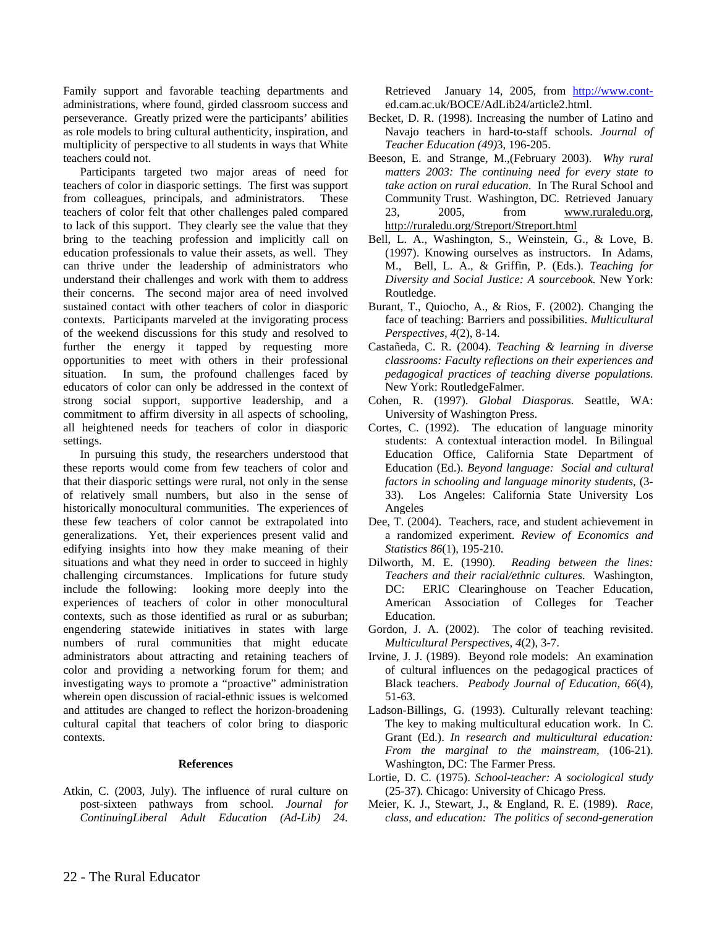Family support and favorable teaching departments and administrations, where found, girded classroom success and perseverance. Greatly prized were the participants' abilities as role models to bring cultural authenticity, inspiration, and multiplicity of perspective to all students in ways that White teachers could not.

Participants targeted two major areas of need for teachers of color in diasporic settings. The first was support from colleagues, principals, and administrators. These teachers of color felt that other challenges paled compared to lack of this support. They clearly see the value that they bring to the teaching profession and implicitly call on education professionals to value their assets, as well. They can thrive under the leadership of administrators who understand their challenges and work with them to address their concerns. The second major area of need involved sustained contact with other teachers of color in diasporic contexts. Participants marveled at the invigorating process of the weekend discussions for this study and resolved to further the energy it tapped by requesting more opportunities to meet with others in their professional situation. In sum, the profound challenges faced by educators of color can only be addressed in the context of strong social support, supportive leadership, and a commitment to affirm diversity in all aspects of schooling, all heightened needs for teachers of color in diasporic settings.

In pursuing this study, the researchers understood that these reports would come from few teachers of color and that their diasporic settings were rural, not only in the sense of relatively small numbers, but also in the sense of historically monocultural communities. The experiences of these few teachers of color cannot be extrapolated into generalizations. Yet, their experiences present valid and edifying insights into how they make meaning of their situations and what they need in order to succeed in highly challenging circumstances. Implications for future study include the following: looking more deeply into the experiences of teachers of color in other monocultural contexts, such as those identified as rural or as suburban; engendering statewide initiatives in states with large numbers of rural communities that might educate administrators about attracting and retaining teachers of color and providing a networking forum for them; and investigating ways to promote a "proactive" administration wherein open discussion of racial-ethnic issues is welcomed and attitudes are changed to reflect the horizon-broadening cultural capital that teachers of color bring to diasporic contexts.

#### **References**

Atkin, C. (2003, July). The influence of rural culture on post-sixteen pathways from school. *Journal for ContinuingLiberal Adult Education (Ad-Lib) 24.* 

Retrieved January 14, 2005, from http://www.conted.cam.ac.uk/BOCE/AdLib24/article2.html.

- Becket, D. R. (1998). Increasing the number of Latino and Navajo teachers in hard-to-staff schools. *Journal of Teacher Education (49)*3, 196-205.
- Beeson, E. and Strange, M.,(February 2003). *Why rural matters 2003: The continuing need for every state to take action on rural education*. In The Rural School and Community Trust. Washington, DC. Retrieved January 23, 2005, from www.ruraledu.org, http://ruraledu.org/Streport/Streport.html
- Bell, L. A., Washington, S., Weinstein, G., & Love, B. (1997). Knowing ourselves as instructors. In Adams, M., Bell, L. A., & Griffin, P. (Eds.). *Teaching for Diversity and Social Justice: A sourcebook.* New York: Routledge.
- Burant, T., Quiocho, A., & Rios, F. (2002). Changing the face of teaching: Barriers and possibilities. *Multicultural Perspectives, 4*(2), 8-14.
- Castañeda, C. R. (2004). *Teaching & learning in diverse classrooms: Faculty reflections on their experiences and pedagogical practices of teaching diverse populations.*  New York: RoutledgeFalmer.
- Cohen, R. (1997). *Global Diasporas.* Seattle, WA: University of Washington Press.
- Cortes, C. (1992). The education of language minority students: A contextual interaction model. In Bilingual Education Office, California State Department of Education (Ed.). *Beyond language: Social and cultural factors in schooling and language minority students*, (3- 33). Los Angeles: California State University Los Angeles
- Dee, T. (2004). Teachers, race, and student achievement in a randomized experiment. *Review of Economics and Statistics 86*(1), 195-210.
- Dilworth, M. E. (1990). *Reading between the lines: Teachers and their racial/ethnic cultures.* Washington, DC: ERIC Clearinghouse on Teacher Education, American Association of Colleges for Teacher Education.
- Gordon, J. A. (2002). The color of teaching revisited. *Multicultural Perspectives, 4*(2), 3-7.
- Irvine, J. J. (1989). Beyond role models: An examination of cultural influences on the pedagogical practices of Black teachers. *Peabody Journal of Education, 66*(4), 51-63.
- Ladson-Billings, G. (1993). Culturally relevant teaching: The key to making multicultural education work. In C. Grant (Ed.). *In research and multicultural education: From the marginal to the mainstream,* (106-21). Washington, DC: The Farmer Press.
- Lortie, D. C. (1975). *School-teacher: A sociological study*  (25-37)*.* Chicago: University of Chicago Press.
- Meier, K. J., Stewart, J., & England, R. E. (1989). *Race, class, and education: The politics of second-generation*